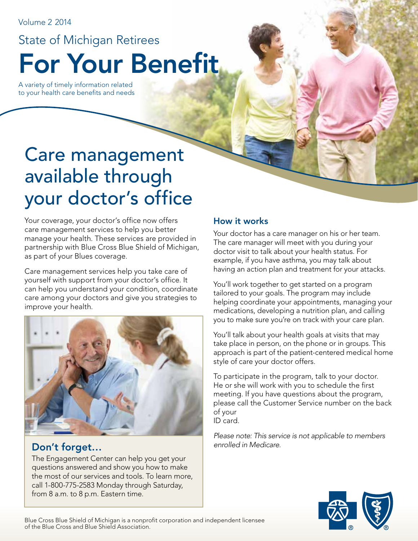Volume 2 2014

For Your Benefit State of Michigan Retirees

A variety of timely information related to your health care benefits and needs

# Care management available through your doctor's office

Your coverage, your doctor's office now offers care management services to help you better manage your health. These services are provided in partnership with Blue Cross Blue Shield of Michigan, as part of your Blues coverage.

Care management services help you take care of yourself with support from your doctor's office. It can help you understand your condition, coordinate care among your doctors and give you strategies to improve your health.



## **Don't forget... enrolled in Medicare.**

The Engagement Center can help you get your questions answered and show you how to make the most of our services and tools. To learn more, call 1-800-775-2583 Monday through Saturday, from 8 a.m. to 8 p.m. Eastern time.

### How it works

Your doctor has a care manager on his or her team. The care manager will meet with you during your doctor visit to talk about your health status. For example, if you have asthma, you may talk about having an action plan and treatment for your attacks.

You'll work together to get started on a program tailored to your goals. The program may include helping coordinate your appointments, managing your medications, developing a nutrition plan, and calling you to make sure you're on track with your care plan.

You'll talk about your health goals at visits that may take place in person, on the phone or in groups. This approach is part of the patient-centered medical home style of care your doctor offers.

To participate in the program, talk to your doctor. He or she will work with you to schedule the first meeting. If you have questions about the program, please call the Customer Service number on the back of your ID card.

*Please note: This service is not applicable to members* 



Blue Cross Blue Shield of Michigan is a nonprofit corporation and independent licensee of the Blue Cross and Blue Shield Association.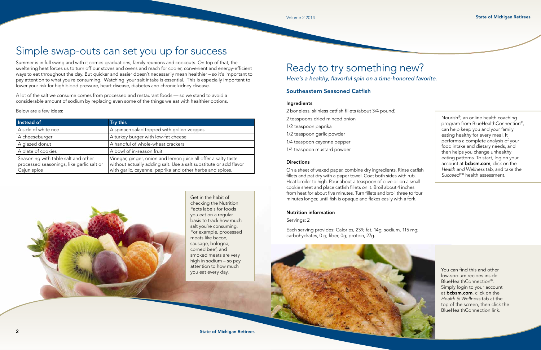# Simple swap-outs can set you up for success

Summer is in full swing and with it comes graduations, family reunions and cookouts. On top of that, the sweltering heat forces us to turn off our stoves and ovens and reach for cooler, convenient and energy-efficient ways to eat throughout the day. But quicker and easier doesn't necessarily mean healthier – so it's important to pay attention to what you're consuming. Watching your salt intake is essential. This is especially important to lower your risk for high blood pressure, heart disease, diabetes and chronic kidney disease.

A lot of the salt we consume comes from processed and restaurant foods — so we stand to avoid a considerable amount of sodium by replacing even some of the things we eat with healthier options.

Below are a few ideas:

Nourish®, an online health coaching program from BlueHealthConnection®, can help keep you and your family eating healthy for every meal. It performs a complete analysis of your food intake and dietary needs, and then helps you change unhealthy eating patterns. To start, log on your account at **bcbsm.com**, click on the *Health and Wellness* tab, and take the *Succeed™* health assessment.

| Instead of                                                                                      | Try this                                                                                                                                                                                         |
|-------------------------------------------------------------------------------------------------|--------------------------------------------------------------------------------------------------------------------------------------------------------------------------------------------------|
| A side of white rice                                                                            | A spinach salad topped with grilled veggies                                                                                                                                                      |
| A cheeseburger                                                                                  | A turkey burger with low-fat cheese                                                                                                                                                              |
| A glazed donut                                                                                  | A handful of whole-wheat crackers                                                                                                                                                                |
| A plate of cookies                                                                              | A bowl of in-season fruit                                                                                                                                                                        |
| Seasoning with table salt and other<br>processed seasonings, like garlic salt or<br>Cajun spice | Vinegar, ginger, onion and lemon juice all offer a salty taste<br>without actually adding salt. Use a salt substitute or add flavor<br>with garlic, cayenne, paprika and other herbs and spices. |



You can find this and other low-sodium recipes inside BlueHealthConnection®. Simply login to your account at **bcbsm.com**, click on the *Health & Wellness* tab at the top of the screen, then click the BlueHealthConnection link.

## Ready to try something new? *Here's a healthy, flavorful spin on a time-honored favorite.*

### Southeastern Seasoned Catfish

#### Ingredients

- 2 boneless, skinless catfish fillets (about 3/4 pound)
- 2 teaspoons dried minced onion
- 1/2 teaspoon paprika
- 1/2 teaspoon garlic powder
- 1/4 teaspoon cayenne pepper
- 1/4 teaspoon mustard powder

#### **Directions**

Get in the habit of checking the Nutrition Facts labels for foods you eat on a regular basis to track how much salt you're consuming. For example, processed meats like bacon, sausage, bologna, corned beef, and smoked meats are very high in sodium – so pay attention to how much you eat every day.

On a sheet of waxed paper, combine dry ingredients. Rinse catfish fillets and pat dry with a paper towel. Coat both sides with rub. Heat broiler to high. Pour about a teaspoon of olive oil on a small cookie sheet and place catfish fillets on it. Broil about 4 inches from heat for about five minutes. Turn fillets and broil three to four minutes longer, until fish is opaque and flakes easily with a fork.

#### Nutrition information

Servings: 2

Each serving provides: Calories, 239; fat, 14g; sodium, 115 mg; carbohydrates, 0 g; fiber, 0g; protein, 27g.



Volume 2 2014 **State of Michigan Retirees**